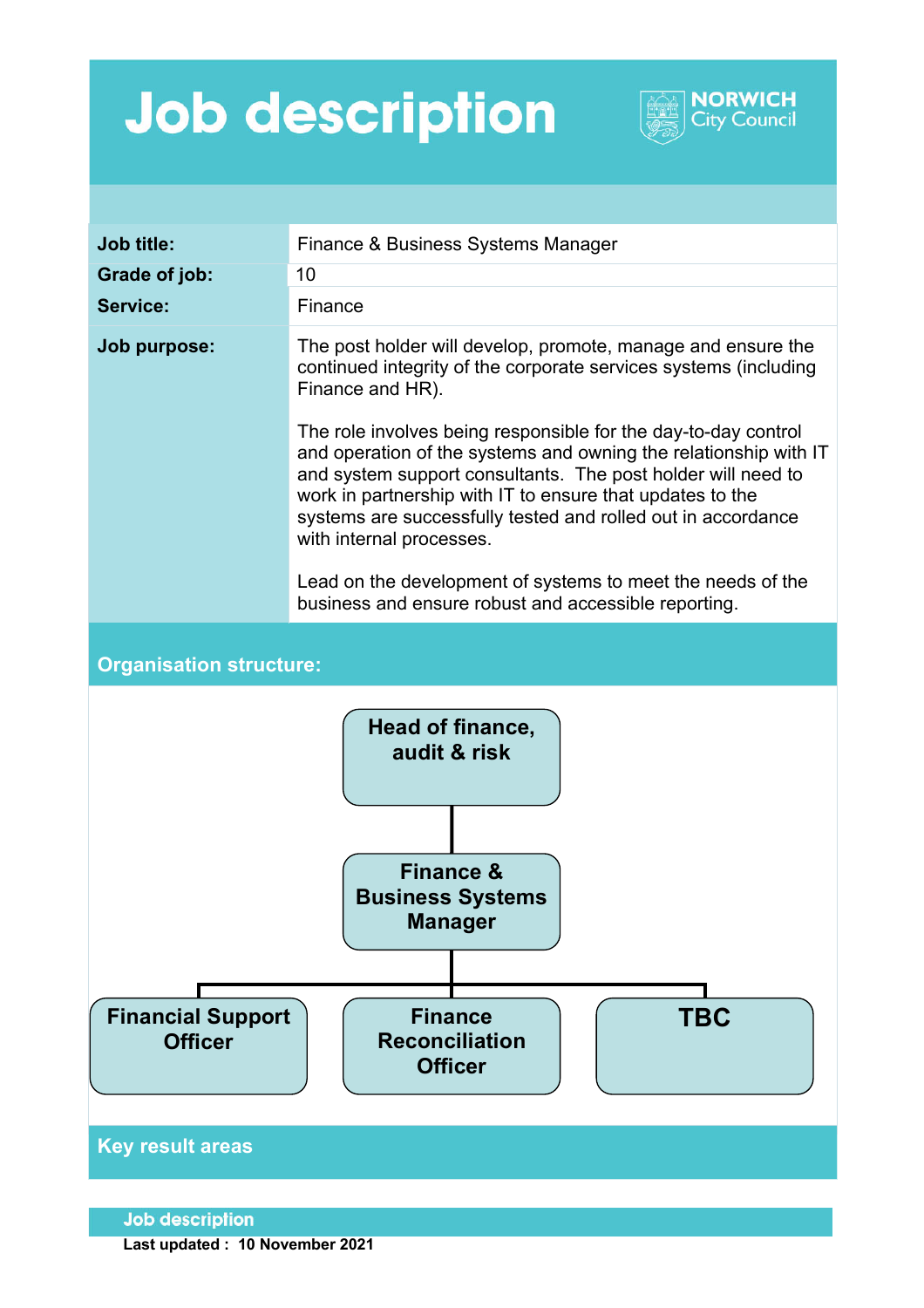## **Job description**



**NORWICH City Council** 

**Last updated : 10 November 2021**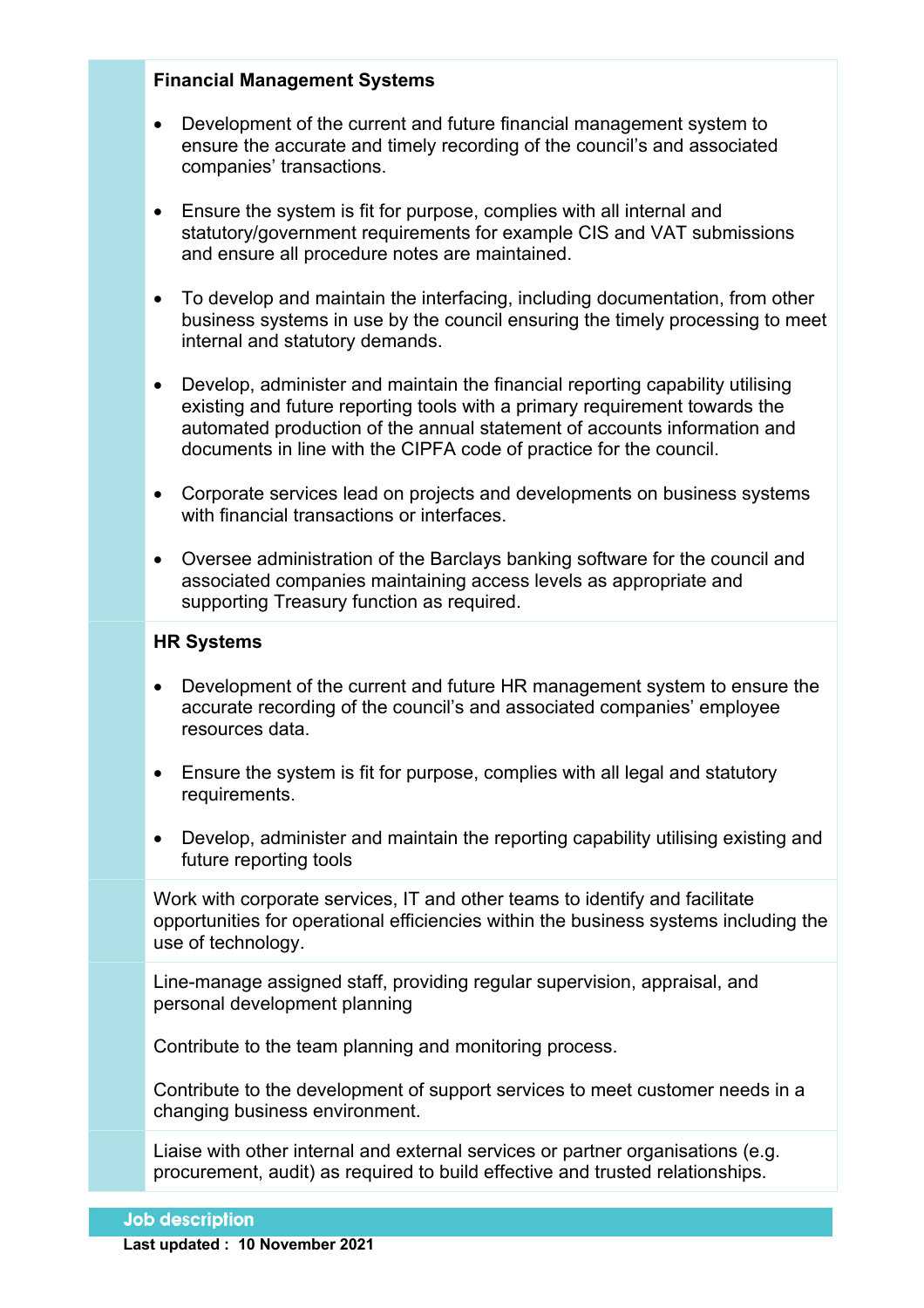## **Financial Management Systems**

- Development of the current and future financial management system to ensure the accurate and timely recording of the council's and associated companies' transactions.
- Ensure the system is fit for purpose, complies with all internal and statutory/government requirements for example CIS and VAT submissions and ensure all procedure notes are maintained.
- To develop and maintain the interfacing, including documentation, from other business systems in use by the council ensuring the timely processing to meet internal and statutory demands.
- Develop, administer and maintain the financial reporting capability utilising existing and future reporting tools with a primary requirement towards the automated production of the annual statement of accounts information and documents in line with the CIPFA code of practice for the council.
- Corporate services lead on projects and developments on business systems with financial transactions or interfaces.
- Oversee administration of the Barclays banking software for the council and associated companies maintaining access levels as appropriate and supporting Treasury function as required.

## **HR Systems**

- Development of the current and future HR management system to ensure the accurate recording of the council's and associated companies' employee resources data.
- Ensure the system is fit for purpose, complies with all legal and statutory requirements.
- Develop, administer and maintain the reporting capability utilising existing and future reporting tools

Work with corporate services, IT and other teams to identify and facilitate opportunities for operational efficiencies within the business systems including the use of technology.

Line-manage assigned staff, providing regular supervision, appraisal, and personal development planning

Contribute to the team planning and monitoring process.

Contribute to the development of support services to meet customer needs in a changing business environment.

Liaise with other internal and external services or partner organisations (e.g. procurement, audit) as required to build effective and trusted relationships.

## **Job description**

**Last updated : 10 November 2021**